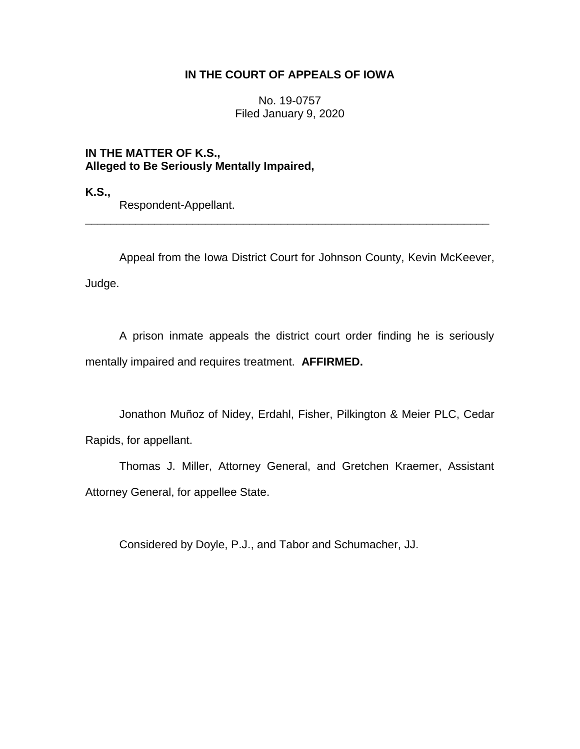# **IN THE COURT OF APPEALS OF IOWA**

No. 19-0757 Filed January 9, 2020

**IN THE MATTER OF K.S., Alleged to Be Seriously Mentally Impaired,**

**K.S.,**

Respondent-Appellant.

Appeal from the Iowa District Court for Johnson County, Kevin McKeever, Judge.

\_\_\_\_\_\_\_\_\_\_\_\_\_\_\_\_\_\_\_\_\_\_\_\_\_\_\_\_\_\_\_\_\_\_\_\_\_\_\_\_\_\_\_\_\_\_\_\_\_\_\_\_\_\_\_\_\_\_\_\_\_\_\_\_

A prison inmate appeals the district court order finding he is seriously mentally impaired and requires treatment. **AFFIRMED.**

Jonathon Muñoz of Nidey, Erdahl, Fisher, Pilkington & Meier PLC, Cedar Rapids, for appellant.

Thomas J. Miller, Attorney General, and Gretchen Kraemer, Assistant Attorney General, for appellee State.

Considered by Doyle, P.J., and Tabor and Schumacher, JJ.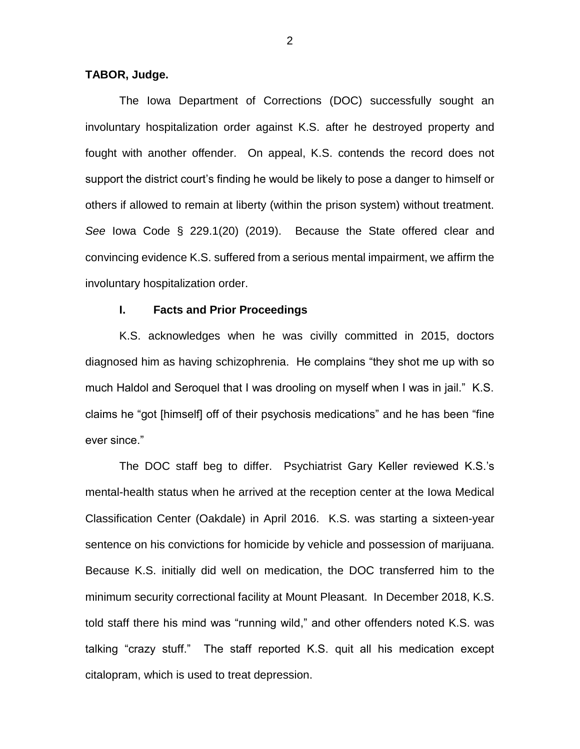## **TABOR, Judge.**

The Iowa Department of Corrections (DOC) successfully sought an involuntary hospitalization order against K.S. after he destroyed property and fought with another offender. On appeal, K.S. contends the record does not support the district court's finding he would be likely to pose a danger to himself or others if allowed to remain at liberty (within the prison system) without treatment. *See* Iowa Code § 229.1(20) (2019). Because the State offered clear and convincing evidence K.S. suffered from a serious mental impairment, we affirm the involuntary hospitalization order.

## **I. Facts and Prior Proceedings**

K.S. acknowledges when he was civilly committed in 2015, doctors diagnosed him as having schizophrenia. He complains "they shot me up with so much Haldol and Seroquel that I was drooling on myself when I was in jail." K.S. claims he "got [himself] off of their psychosis medications" and he has been "fine ever since."

The DOC staff beg to differ. Psychiatrist Gary Keller reviewed K.S.'s mental-health status when he arrived at the reception center at the Iowa Medical Classification Center (Oakdale) in April 2016. K.S. was starting a sixteen-year sentence on his convictions for homicide by vehicle and possession of marijuana. Because K.S. initially did well on medication, the DOC transferred him to the minimum security correctional facility at Mount Pleasant. In December 2018, K.S. told staff there his mind was "running wild," and other offenders noted K.S. was talking "crazy stuff." The staff reported K.S. quit all his medication except citalopram, which is used to treat depression.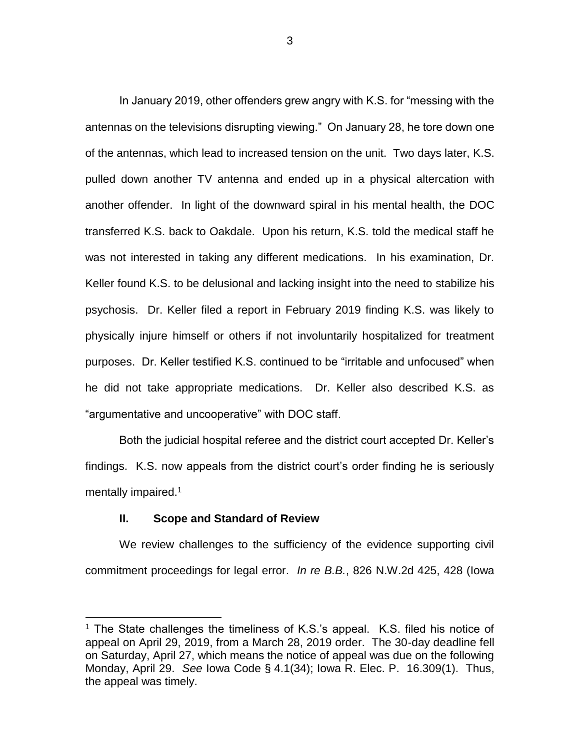In January 2019, other offenders grew angry with K.S. for "messing with the antennas on the televisions disrupting viewing." On January 28, he tore down one of the antennas, which lead to increased tension on the unit. Two days later, K.S. pulled down another TV antenna and ended up in a physical altercation with another offender. In light of the downward spiral in his mental health, the DOC transferred K.S. back to Oakdale. Upon his return, K.S. told the medical staff he was not interested in taking any different medications. In his examination, Dr. Keller found K.S. to be delusional and lacking insight into the need to stabilize his psychosis. Dr. Keller filed a report in February 2019 finding K.S. was likely to physically injure himself or others if not involuntarily hospitalized for treatment purposes. Dr. Keller testified K.S. continued to be "irritable and unfocused" when he did not take appropriate medications. Dr. Keller also described K.S. as "argumentative and uncooperative" with DOC staff.

Both the judicial hospital referee and the district court accepted Dr. Keller's findings. K.S. now appeals from the district court's order finding he is seriously mentally impaired.<sup>1</sup>

### **II. Scope and Standard of Review**

 $\overline{a}$ 

We review challenges to the sufficiency of the evidence supporting civil commitment proceedings for legal error. *In re B.B.*, 826 N.W.2d 425, 428 (Iowa

<sup>&</sup>lt;sup>1</sup> The State challenges the timeliness of K.S.'s appeal. K.S. filed his notice of appeal on April 29, 2019, from a March 28, 2019 order. The 30-day deadline fell on Saturday, April 27, which means the notice of appeal was due on the following Monday, April 29. *See* Iowa Code § 4.1(34); Iowa R. Elec. P. 16.309(1). Thus, the appeal was timely.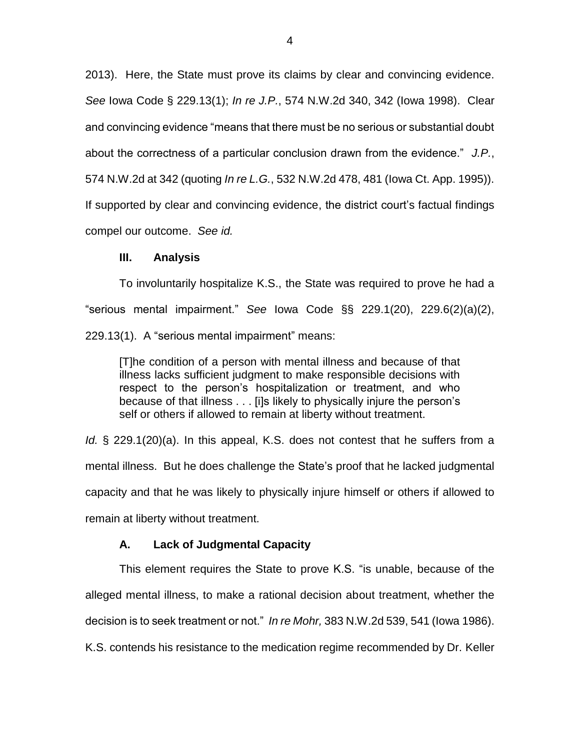2013). Here, the State must prove its claims by clear and convincing evidence. *See* Iowa Code § 229.13(1); *In re J.P.*, 574 N.W.2d 340, 342 (Iowa 1998). Clear and convincing evidence "means that there must be no serious or substantial doubt about the correctness of a particular conclusion drawn from the evidence." *J.P.*, 574 N.W.2d at 342 (quoting *In re L.G.*, 532 N.W.2d 478, 481 (Iowa Ct. App. 1995)). If supported by clear and convincing evidence, the district court's factual findings compel our outcome. *See id.*

## **III. Analysis**

To involuntarily hospitalize K.S., the State was required to prove he had a "serious mental impairment." *See* Iowa Code §§ 229.1(20), 229.6(2)(a)(2), 229.13(1). A "serious mental impairment" means:

[T]he condition of a person with mental illness and because of that illness lacks sufficient judgment to make responsible decisions with respect to the person's hospitalization or treatment, and who because of that illness . . . [i]s likely to physically injure the person's self or others if allowed to remain at liberty without treatment.

*Id.* § 229.1(20)(a). In this appeal, K.S. does not contest that he suffers from a mental illness. But he does challenge the State's proof that he lacked judgmental capacity and that he was likely to physically injure himself or others if allowed to remain at liberty without treatment.

# **A. Lack of Judgmental Capacity**

This element requires the State to prove K.S. "is unable, because of the alleged mental illness, to make a rational decision about treatment, whether the decision is to seek treatment or not." *In re Mohr,* 383 N.W.2d 539, 541 (Iowa 1986). K.S. contends his resistance to the medication regime recommended by Dr. Keller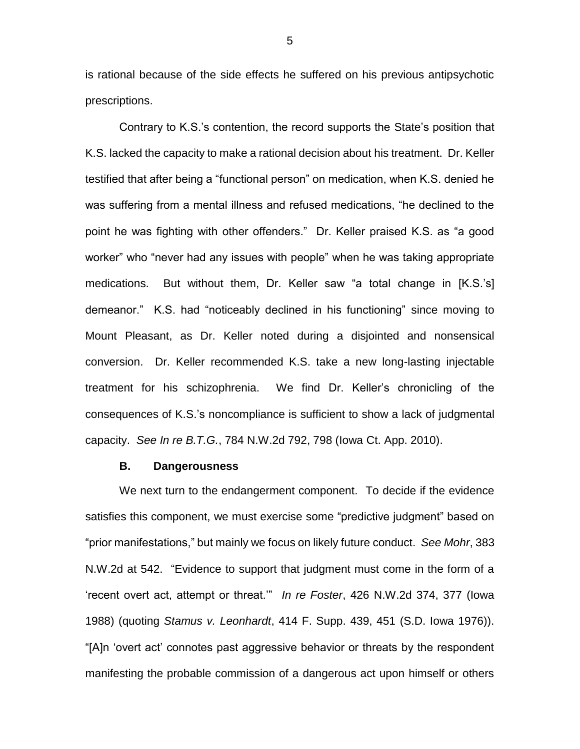is rational because of the side effects he suffered on his previous antipsychotic prescriptions.

Contrary to K.S.'s contention, the record supports the State's position that K.S. lacked the capacity to make a rational decision about his treatment. Dr. Keller testified that after being a "functional person" on medication, when K.S. denied he was suffering from a mental illness and refused medications, "he declined to the point he was fighting with other offenders." Dr. Keller praised K.S. as "a good worker" who "never had any issues with people" when he was taking appropriate medications. But without them, Dr. Keller saw "a total change in [K.S.'s] demeanor." K.S. had "noticeably declined in his functioning" since moving to Mount Pleasant, as Dr. Keller noted during a disjointed and nonsensical conversion. Dr. Keller recommended K.S. take a new long-lasting injectable treatment for his schizophrenia. We find Dr. Keller's chronicling of the consequences of K.S.'s noncompliance is sufficient to show a lack of judgmental capacity. *See In re B.T.G.*, 784 N.W.2d 792, 798 (Iowa Ct. App. 2010).

### **B. Dangerousness**

We next turn to the endangerment component. To decide if the evidence satisfies this component, we must exercise some "predictive judgment" based on "prior manifestations," but mainly we focus on likely future conduct. *See Mohr*, 383 N.W.2d at 542. "Evidence to support that judgment must come in the form of a 'recent overt act, attempt or threat.'" *In re Foster*, 426 N.W.2d 374, 377 (Iowa 1988) (quoting *Stamus v. Leonhardt*, 414 F. Supp. 439, 451 (S.D. Iowa 1976)). "[A]n 'overt act' connotes past aggressive behavior or threats by the respondent manifesting the probable commission of a dangerous act upon himself or others